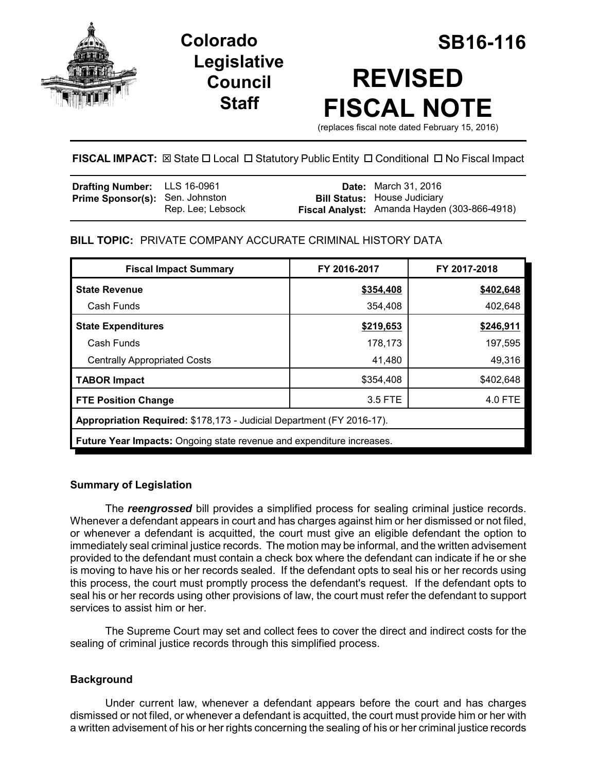

**Legislative Council Staff**

# **Colorado SB16-116 REVISED FISCAL NOTE**

(replaces fiscal note dated February 15, 2016)

# **FISCAL IMPACT:**  $\boxtimes$  State  $\Box$  Local  $\Box$  Statutory Public Entity  $\Box$  Conditional  $\Box$  No Fiscal Impact

| <b>Drafting Number:</b> LLS 16-0961    |                   | <b>Date:</b> March 31, 2016                  |
|----------------------------------------|-------------------|----------------------------------------------|
| <b>Prime Sponsor(s):</b> Sen. Johnston |                   | <b>Bill Status:</b> House Judiciary          |
|                                        | Rep. Lee; Lebsock | Fiscal Analyst: Amanda Hayden (303-866-4918) |

# **BILL TOPIC:** PRIVATE COMPANY ACCURATE CRIMINAL HISTORY DATA

| <b>Fiscal Impact Summary</b>                                                 | FY 2016-2017 | FY 2017-2018 |  |  |
|------------------------------------------------------------------------------|--------------|--------------|--|--|
| <b>State Revenue</b>                                                         | \$354,408    | \$402,648    |  |  |
| Cash Funds                                                                   | 354,408      | 402,648      |  |  |
| <b>State Expenditures</b>                                                    | \$219,653    | \$246,911    |  |  |
| Cash Funds                                                                   | 178,173      | 197,595      |  |  |
| <b>Centrally Appropriated Costs</b>                                          | 41,480       | 49,316       |  |  |
| <b>TABOR Impact</b>                                                          | \$354,408    | \$402,648    |  |  |
| <b>FTE Position Change</b>                                                   | 3.5 FTE      | 4.0 FTE      |  |  |
| Appropriation Required: \$178,173 - Judicial Department (FY 2016-17).        |              |              |  |  |
| <b>Future Year Impacts:</b> Ongoing state revenue and expenditure increases. |              |              |  |  |

## **Summary of Legislation**

The *reengrossed* bill provides a simplified process for sealing criminal justice records. Whenever a defendant appears in court and has charges against him or her dismissed or not filed, or whenever a defendant is acquitted, the court must give an eligible defendant the option to immediately seal criminal justice records. The motion may be informal, and the written advisement provided to the defendant must contain a check box where the defendant can indicate if he or she is moving to have his or her records sealed. If the defendant opts to seal his or her records using this process, the court must promptly process the defendant's request. If the defendant opts to seal his or her records using other provisions of law, the court must refer the defendant to support services to assist him or her.

The Supreme Court may set and collect fees to cover the direct and indirect costs for the sealing of criminal justice records through this simplified process.

# **Background**

Under current law, whenever a defendant appears before the court and has charges dismissed or not filed, or whenever a defendant is acquitted, the court must provide him or her with a written advisement of his or her rights concerning the sealing of his or her criminal justice records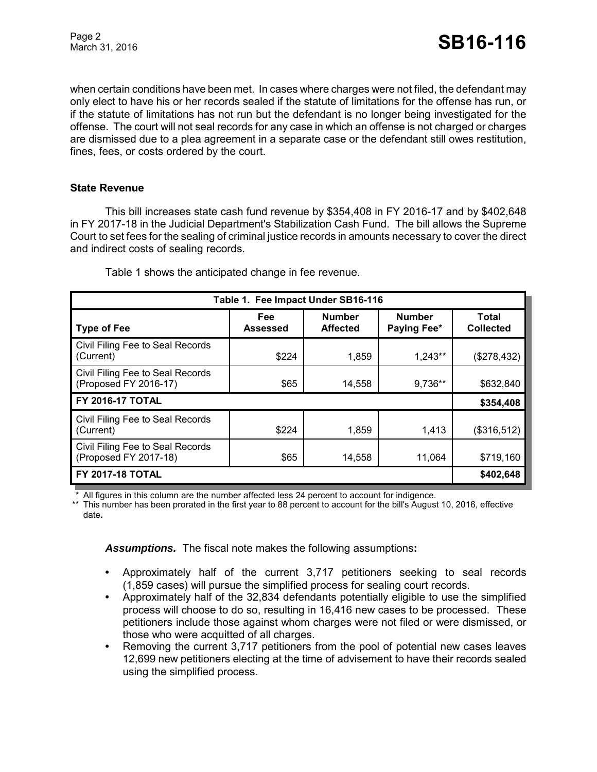when certain conditions have been met. In cases where charges were not filed, the defendant may only elect to have his or her records sealed if the statute of limitations for the offense has run, or if the statute of limitations has not run but the defendant is no longer being investigated for the offense. The court will not seal records for any case in which an offense is not charged or charges are dismissed due to a plea agreement in a separate case or the defendant still owes restitution, fines, fees, or costs ordered by the court.

### **State Revenue**

This bill increases state cash fund revenue by \$354,408 in FY 2016-17 and by \$402,648 in FY 2017-18 in the Judicial Department's Stabilization Cash Fund. The bill allows the Supreme Court to set fees for the sealing of criminal justice records in amounts necessary to cover the direct and indirect costs of sealing records.

| Table 1. Fee Impact Under SB16-116                        |                 |                                  |                              |                           |  |
|-----------------------------------------------------------|-----------------|----------------------------------|------------------------------|---------------------------|--|
| <b>Type of Fee</b>                                        | Fee<br>Assessed | <b>Number</b><br><b>Affected</b> | <b>Number</b><br>Paying Fee* | Total<br><b>Collected</b> |  |
| Civil Filing Fee to Seal Records<br>(Current)             | \$224           | 1,859                            | 1,243**                      | (\$278,432)               |  |
| Civil Filing Fee to Seal Records<br>(Proposed FY 2016-17) | \$65            | 14,558                           | 9,736**                      | \$632,840                 |  |
| <b>FY 2016-17 TOTAL</b>                                   |                 |                                  |                              | \$354,408                 |  |
| Civil Filing Fee to Seal Records<br>(Current)             | \$224           | 1,859                            | 1,413                        | (\$316,512)               |  |
| Civil Filing Fee to Seal Records<br>(Proposed FY 2017-18) | \$65            | 14,558                           | 11,064                       | \$719,160                 |  |
| <b>FY 2017-18 TOTAL</b>                                   |                 |                                  |                              | \$402,648                 |  |

Table 1 shows the anticipated change in fee revenue.

All figures in this column are the number affected less 24 percent to account for indigence.

\*\* This number has been prorated in the first year to 88 percent to account for the bill's August 10, 2016, effective date**.**

*Assumptions.*The fiscal note makes the following assumptions**:**

- **•** Approximately half of the current 3,717 petitioners seeking to seal records (1,859 cases) will pursue the simplified process for sealing court records.
- **•** Approximately half of the 32,834 defendants potentially eligible to use the simplified process will choose to do so, resulting in 16,416 new cases to be processed. These petitioners include those against whom charges were not filed or were dismissed, or those who were acquitted of all charges.
- **•** Removing the current 3,717 petitioners from the pool of potential new cases leaves 12,699 new petitioners electing at the time of advisement to have their records sealed using the simplified process.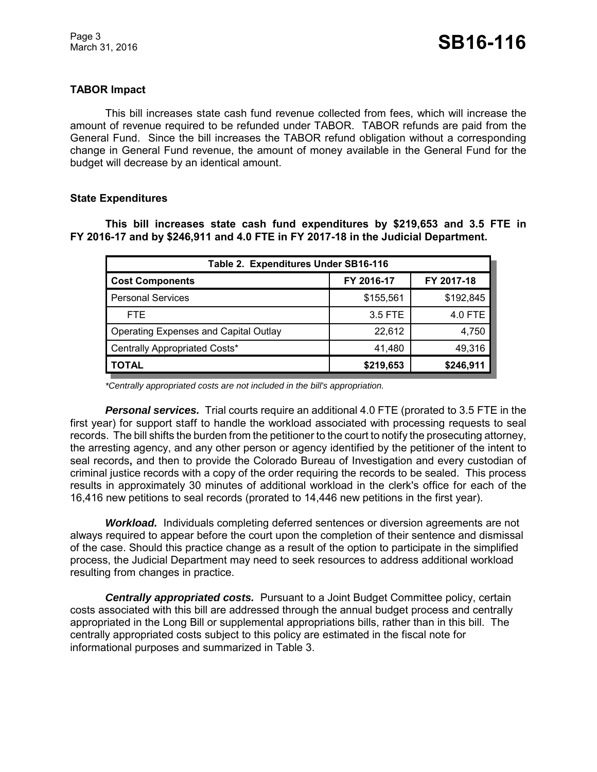## **TABOR Impact**

This bill increases state cash fund revenue collected from fees, which will increase the amount of revenue required to be refunded under TABOR. TABOR refunds are paid from the General Fund. Since the bill increases the TABOR refund obligation without a corresponding change in General Fund revenue, the amount of money available in the General Fund for the budget will decrease by an identical amount.

## **State Expenditures**

## **This bill increases state cash fund expenditures by \$219,653 and 3.5 FTE in FY 2016-17 and by \$246,911 and 4.0 FTE in FY 2017-18 in the Judicial Department.**

| Table 2. Expenditures Under SB16-116         |            |            |  |  |  |
|----------------------------------------------|------------|------------|--|--|--|
| <b>Cost Components</b>                       | FY 2016-17 | FY 2017-18 |  |  |  |
| <b>Personal Services</b>                     | \$155,561  | \$192,845  |  |  |  |
| <b>FTE</b>                                   | 3.5 FTE    | 4.0 FTE    |  |  |  |
| <b>Operating Expenses and Capital Outlay</b> | 22.612     | 4,750      |  |  |  |
| Centrally Appropriated Costs*                | 41,480     | 49,316     |  |  |  |
| <b>TOTAL</b>                                 | \$219,653  | \$246,911  |  |  |  |

*\*Centrally appropriated costs are not included in the bill's appropriation.*

*Personal services.* Trial courts require an additional 4.0 FTE (prorated to 3.5 FTE in the first year) for support staff to handle the workload associated with processing requests to seal records. The bill shifts the burden from the petitioner to the court to notify the prosecuting attorney, the arresting agency, and any other person or agency identified by the petitioner of the intent to seal records**,** and then to provide the Colorado Bureau of Investigation and every custodian of criminal justice records with a copy of the order requiring the records to be sealed. This process results in approximately 30 minutes of additional workload in the clerk's office for each of the 16,416 new petitions to seal records (prorated to 14,446 new petitions in the first year).

*Workload.* Individuals completing deferred sentences or diversion agreements are not always required to appear before the court upon the completion of their sentence and dismissal of the case. Should this practice change as a result of the option to participate in the simplified process, the Judicial Department may need to seek resources to address additional workload resulting from changes in practice.

*Centrally appropriated costs.* Pursuant to a Joint Budget Committee policy, certain costs associated with this bill are addressed through the annual budget process and centrally appropriated in the Long Bill or supplemental appropriations bills, rather than in this bill. The centrally appropriated costs subject to this policy are estimated in the fiscal note for informational purposes and summarized in Table 3.